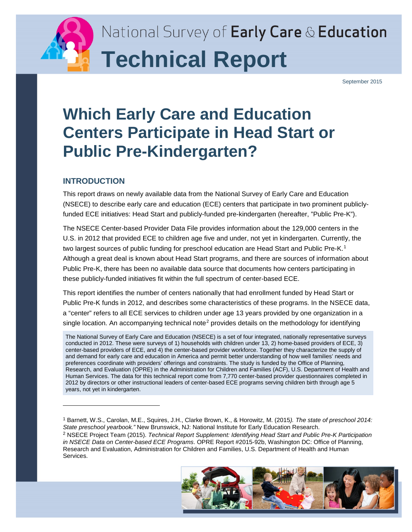

September 2015

# **Which Early Care and Education Centers Participate in Head Start or Public Pre-Kindergarten?**

# **INTRODUCTION**

This report draws on newly available data from the National Survey of Early Care and Education (NSECE) to describe early care and education (ECE) centers that participate in two prominent publiclyfunded ECE initiatives: Head Start and publicly-funded pre-kindergarten (hereafter, "Public Pre-K").

The NSECE Center-based Provider Data File provides information about the 129,000 centers in the U.S. in 2012 that provided ECE to children age five and under, not yet in kindergarten. Currently, the two largest sources of public funding for preschool education are Head Start and Public Pre-K.<sup>[1](#page-0-0)</sup> Although a great deal is known about Head Start programs, and there are sources of information about Public Pre-K, there has been no available data source that documents how centers participating in these publicly-funded initiatives fit within the full spectrum of center-based ECE.

This report identifies the number of centers nationally that had enrollment funded by Head Start or Public Pre-K funds in 2012, and describes some characteristics of these programs. In the NSECE data, a "center" refers to all ECE services to children under age 13 years provided by one organization in a single location. An accompanying technical note<sup>[2](#page-0-1)</sup> provides details on the methodology for identifying

The National Survey of Early Care and Education (NSECE) is a set of four integrated, nationally representative surveys conducted in 2012. These were surveys of 1) households with children under 13, 2) home-based providers of ECE, 3) center-based providers of ECE, and 4) the center-based provider workforce. Together they characterize the supply of and demand for early care and education in America and permit better understanding of how well families' needs and preferences coordinate with providers' offerings and constraints. The study is funded by the Office of Planning, Research, and Evaluation (OPRE) in the Administration for Children and Families (ACF), U.S. Department of Health and Human Services. The data for this technical report come from 7,770 center-based provider questionnaires completed in 2012 by directors or other instructional leaders of center-based ECE programs serving children birth through age 5 years, not yet in kindergarten.

<span id="page-0-1"></span>*in NSECE Data on Center-based ECE Programs*. OPRE Report #2015-92b, Washington DC: Office of Planning, Research and Evaluation, Administration for Children and Families, U.S. Department of Health and Human Services.



<span id="page-0-0"></span><sup>1</sup> Barnett, W.S., Carolan, M.E., Squires, J.H., Clarke Brown, K., & Horowitz, M. (2015*). The state of preschool 2014: State preschool yearbook."* New Brunswick, NJ: National Institute for Early Education Research. <sup>2</sup> NSECE Project Team (2015). *Technical Report Supplement: Identifying Head Start and Public Pre-K Participation*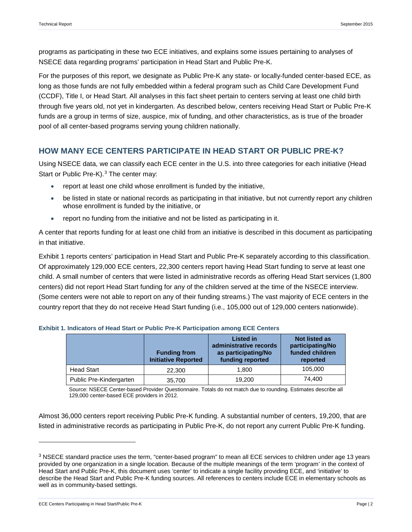programs as participating in these two ECE initiatives, and explains some issues pertaining to analyses of NSECE data regarding programs' participation in Head Start and Public Pre-K.

For the purposes of this report, we designate as Public Pre-K any state- or locally-funded center-based ECE, as long as those funds are not fully embedded within a federal program such as Child Care Development Fund (CCDF), Title I, or Head Start. All analyses in this fact sheet pertain to centers serving at least one child birth through five years old, not yet in kindergarten. As described below, centers receiving Head Start or Public Pre-K funds are a group in terms of size, auspice, mix of funding, and other characteristics, as is true of the broader pool of all center-based programs serving young children nationally.

## **HOW MANY ECE CENTERS PARTICIPATE IN HEAD START OR PUBLIC PRE-K?**

Using NSECE data, we can classify each ECE center in the U.S. into three categories for each initiative (Head Start or Public Pre-K).<sup>[3](#page-1-0)</sup> The center may:

- report at least one child whose enrollment is funded by the initiative,
- be listed in state or national records as participating in that initiative, but not currently report any children whose enrollment is funded by the initiative, or
- report no funding from the initiative and not be listed as participating in it.

A center that reports funding for at least one child from an initiative is described in this document as participating in that initiative.

Exhibit 1 reports centers' participation in Head Start and Public Pre-K separately according to this classification. Of approximately 129,000 ECE centers, 22,300 centers report having Head Start funding to serve at least one child. A small number of centers that were listed in administrative records as offering Head Start services (1,800 centers) did not report Head Start funding for any of the children served at the time of the NSECE interview. (Some centers were not able to report on any of their funding streams.) The vast majority of ECE centers in the country report that they do not receive Head Start funding (i.e., 105,000 out of 129,000 centers nationwide).

|                         | <b>Funding from</b><br><b>Initiative Reported</b> | <b>Listed in</b><br>administrative records<br>as participating/No<br>funding reported | <b>Not listed as</b><br>participating/No<br>funded children<br>reported |
|-------------------------|---------------------------------------------------|---------------------------------------------------------------------------------------|-------------------------------------------------------------------------|
| <b>Head Start</b>       | 22,300                                            | 1.800                                                                                 | 105.000                                                                 |
| Public Pre-Kindergarten | 35,700                                            | 19.200                                                                                | 74.400                                                                  |

#### **Exhibit 1. Indicators of Head Start or Public Pre-K Participation among ECE Centers**

Source: NSECE Center-based Provider Questionnaire. Totals do not match due to rounding. Estimates describe all 129,000 center-based ECE providers in 2012.

Almost 36,000 centers report receiving Public Pre-K funding. A substantial number of centers, 19,200, that are listed in administrative records as participating in Public Pre-K, do not report any current Public Pre-K funding.

ECE Centers Participating in Head Start/Public Pre-K Page | 2

<span id="page-1-0"></span><sup>&</sup>lt;sup>3</sup> NSECE standard practice uses the term, "center-based program" to mean all ECE services to children under age 13 years provided by one organization in a single location. Because of the multiple meanings of the term 'program' in the context of Head Start and Public Pre-K, this document uses 'center' to indicate a single facility providing ECE, and 'initiative' to describe the Head Start and Public Pre-K funding sources. All references to centers include ECE in elementary schools as well as in community-based settings.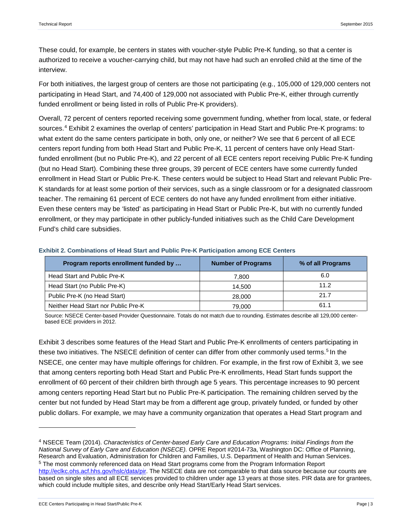These could, for example, be centers in states with voucher-style Public Pre-K funding, so that a center is authorized to receive a voucher-carrying child, but may not have had such an enrolled child at the time of the interview.

For both initiatives, the largest group of centers are those not participating (e.g., 105,000 of 129,000 centers not participating in Head Start, and 74,400 of 129,000 not associated with Public Pre-K, either through currently funded enrollment or being listed in rolls of Public Pre-K providers).

Overall, 72 percent of centers reported receiving some government funding, whether from local, state, or federal sources. [4](#page-2-0) Exhibit 2 examines the overlap of centers' participation in Head Start and Public Pre-K programs: to what extent do the same centers participate in both, only one, or neither? We see that 6 percent of all ECE centers report funding from both Head Start and Public Pre-K, 11 percent of centers have only Head Startfunded enrollment (but no Public Pre-K), and 22 percent of all ECE centers report receiving Public Pre-K funding (but no Head Start). Combining these three groups, 39 percent of ECE centers have some currently funded enrollment in Head Start or Public Pre-K. These centers would be subject to Head Start and relevant Public Pre-K standards for at least some portion of their services, such as a single classroom or for a designated classroom teacher. The remaining 61 percent of ECE centers do not have any funded enrollment from either initiative. Even these centers may be 'listed' as participating in Head Start or Public Pre-K, but with no currently funded enrollment, or they may participate in other publicly-funded initiatives such as the Child Care Development Fund's child care subsidies.

| Program reports enrollment funded by | <b>Number of Programs</b> | % of all Programs |
|--------------------------------------|---------------------------|-------------------|
| Head Start and Public Pre-K          | 7.800                     | 6.0               |
| Head Start (no Public Pre-K)         | 14.500                    | 11.2              |
| Public Pre-K (no Head Start)         | 28,000                    | 21.7              |
| Neither Head Start nor Public Pre-K  | 79.000                    | 61.1              |

**Exhibit 2. Combinations of Head Start and Public Pre-K Participation among ECE Centers** 

Source: NSECE Center-based Provider Questionnaire. Totals do not match due to rounding. Estimates describe all 129,000 centerbased ECE providers in 2012.

Exhibit 3 describes some features of the Head Start and Public Pre-K enrollments of centers participating in these two initiatives. The NSECE definition of center can differ from other commonly used terms.<sup>[5](#page-2-1)</sup> In the NSECE, one center may have multiple offerings for children. For example, in the first row of Exhibit 3, we see that among centers reporting both Head Start and Public Pre-K enrollments, Head Start funds support the enrollment of 60 percent of their children birth through age 5 years. This percentage increases to 90 percent among centers reporting Head Start but no Public Pre-K participation. The remaining children served by the center but not funded by Head Start may be from a different age group, privately funded, or funded by other public dollars. For example, we may have a community organization that operates a Head Start program and

<span id="page-2-1"></span><span id="page-2-0"></span><sup>4</sup> NSECE Team (2014). *Characteristics of Center-based Early Care and Education Programs: Initial Findings from the National Survey of Early Care and Education (NSECE).* OPRE Report #2014-73a, Washington DC: Office of Planning, Research and Evaluation, Administration for Children and Families, U.S. Department of Health and Human Services. <sup>5</sup> The most commonly referenced data on Head Start programs come from the Program Information Report [http://eclkc.ohs.acf.hhs.gov/hslc/data/pir.](http://eclkc.ohs.acf.hhs.gov/hslc/data/pir) The NSECE data are not comparable to that data source because our counts are based on single sites and all ECE services provided to children under age 13 years at those sites. PIR data are for grantees, which could include multiple sites, and describe only Head Start/Early Head Start services.

ECE Centers Participating in Head Start/Public Pre-K Page | 3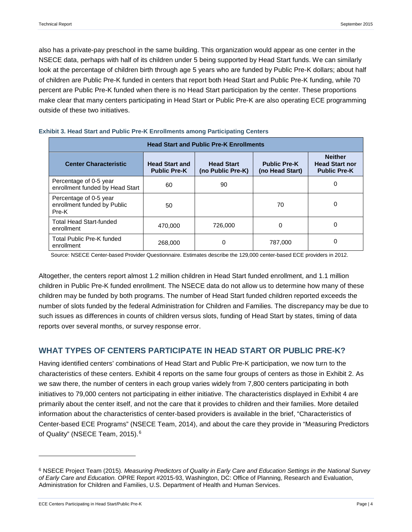also has a private-pay preschool in the same building. This organization would appear as one center in the NSECE data, perhaps with half of its children under 5 being supported by Head Start funds. We can similarly look at the percentage of children birth through age 5 years who are funded by Public Pre-K dollars; about half of children are Public Pre-K funded in centers that report both Head Start and Public Pre-K funding, while 70 percent are Public Pre-K funded when there is no Head Start participation by the center. These proportions make clear that many centers participating in Head Start or Public Pre-K are also operating ECE programming outside of these two initiatives.

| <b>Head Start and Public Pre-K Enrollments</b>                 |                                              |                                        |                                        |                                                                |  |  |  |
|----------------------------------------------------------------|----------------------------------------------|----------------------------------------|----------------------------------------|----------------------------------------------------------------|--|--|--|
| <b>Center Characteristic</b>                                   | <b>Head Start and</b><br><b>Public Pre-K</b> | <b>Head Start</b><br>(no Public Pre-K) | <b>Public Pre-K</b><br>(no Head Start) | <b>Neither</b><br><b>Head Start nor</b><br><b>Public Pre-K</b> |  |  |  |
| Percentage of 0-5 year<br>enrollment funded by Head Start      | 60                                           | 90                                     |                                        | 0                                                              |  |  |  |
| Percentage of 0-5 year<br>enrollment funded by Public<br>Pre-K | 50                                           |                                        | 70                                     | 0                                                              |  |  |  |
| <b>Total Head Start-funded</b><br>enrollment                   | 470.000                                      | 726,000                                | 0                                      | 0                                                              |  |  |  |
| Total Public Pre-K funded<br>enrollment                        | 268,000                                      | 0                                      | 787.000                                | 0                                                              |  |  |  |

#### **Exhibit 3. Head Start and Public Pre-K Enrollments among Participating Centers**

Source: NSECE Center-based Provider Questionnaire. Estimates describe the 129,000 center-based ECE providers in 2012.

Altogether, the centers report almost 1.2 million children in Head Start funded enrollment, and 1.1 million children in Public Pre-K funded enrollment. The NSECE data do not allow us to determine how many of these children may be funded by both programs. The number of Head Start funded children reported exceeds the number of slots funded by the federal Administration for Children and Families. The discrepancy may be due to such issues as differences in counts of children versus slots, funding of Head Start by states, timing of data reports over several months, or survey response error.

## **WHAT TYPES OF CENTERS PARTICIPATE IN HEAD START OR PUBLIC PRE-K?**

Having identified centers' combinations of Head Start and Public Pre-K participation, we now turn to the characteristics of these centers. Exhibit 4 reports on the same four groups of centers as those in Exhibit 2. As we saw there, the number of centers in each group varies widely from 7,800 centers participating in both initiatives to 79,000 centers not participating in either initiative. The characteristics displayed in Exhibit 4 are primarily about the center itself, and not the care that it provides to children and their families. More detailed information about the characteristics of center-based providers is available in the brief, "Characteristics of Center-based ECE Programs" (NSECE Team, 2014), and about the care they provide in "Measuring Predictors of Quality" (NSECE Team, 2015).<sup>[6](#page-3-0)</sup>

ECE Centers Participating in Head Start/Public Pre-K Page | 4

<span id="page-3-0"></span><sup>6</sup> NSECE Project Team (2015). *Measuring Predictors of Quality in Early Care and Education Settings in the National Survey of Early Care and Education.* OPRE Report #2015-93, Washington, DC: Office of Planning, Research and Evaluation, Administration for Children and Families, U.S. Department of Health and Human Services.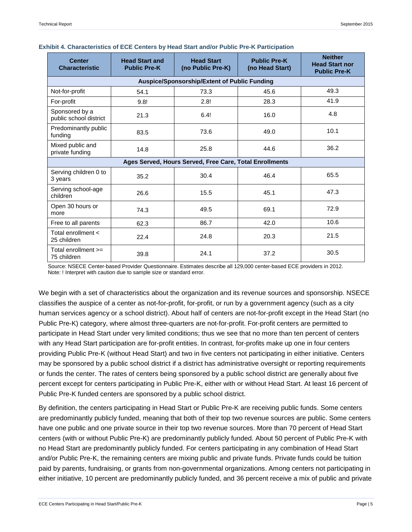| <b>Center</b><br><b>Characteristic</b>                  | <b>Head Start and</b><br><b>Public Pre-K</b> | <b>Head Start</b><br>(no Public Pre-K) | <b>Public Pre-K</b><br>(no Head Start) | <b>Neither</b><br><b>Head Start nor</b><br><b>Public Pre-K</b> |  |  |  |  |
|---------------------------------------------------------|----------------------------------------------|----------------------------------------|----------------------------------------|----------------------------------------------------------------|--|--|--|--|
| Auspice/Sponsorship/Extent of Public Funding            |                                              |                                        |                                        |                                                                |  |  |  |  |
| Not-for-profit                                          | 54.1                                         | 73.3                                   | 45.6                                   | 49.3                                                           |  |  |  |  |
| For-profit                                              | 9.8!                                         | 2.8!                                   | 28.3                                   | 41.9                                                           |  |  |  |  |
| Sponsored by a<br>public school district                | 21.3                                         | 6.4!                                   | 16.0                                   | 4.8                                                            |  |  |  |  |
| Predominantly public<br>funding                         | 83.5                                         | 73.6                                   | 49.0                                   | 10.1                                                           |  |  |  |  |
| Mixed public and<br>private funding                     | 14.8                                         | 25.8                                   | 44.6                                   | 36.2                                                           |  |  |  |  |
| Ages Served, Hours Served, Free Care, Total Enrollments |                                              |                                        |                                        |                                                                |  |  |  |  |
| Serving children 0 to<br>3 years                        | 35.2                                         | 30.4                                   | 46.4                                   | 65.5                                                           |  |  |  |  |
| Serving school-age<br>children                          | 26.6                                         | 15.5                                   | 45.1                                   | 47.3                                                           |  |  |  |  |
| Open 30 hours or<br>more                                | 74.3                                         | 49.5                                   | 69.1                                   | 72.9                                                           |  |  |  |  |
| Free to all parents                                     | 62.3                                         | 86.7                                   | 42.0                                   | 10.6                                                           |  |  |  |  |
| Total enrollment <<br>25 children                       | 22.4                                         | 24.8                                   | 20.3                                   | 21.5                                                           |  |  |  |  |
| Total enrollment $>=$<br>75 children                    | 39.8                                         | 24.1                                   | 37.2                                   | 30.5                                                           |  |  |  |  |

#### **Exhibit 4. Characteristics of ECE Centers by Head Start and/or Public Pre-K Participation**

Source: NSECE Center-based Provider Questionnaire. Estimates describe all 129,000 center-based ECE providers in 2012. Note: ! Interpret with caution due to sample size or standard error.

We begin with a set of characteristics about the organization and its revenue sources and sponsorship. NSECE classifies the auspice of a center as not-for-profit, for-profit, or run by a government agency (such as a city human services agency or a school district). About half of centers are not-for-profit except in the Head Start (no Public Pre-K) category, where almost three-quarters are not-for-profit. For-profit centers are permitted to participate in Head Start under very limited conditions; thus we see that no more than ten percent of centers with any Head Start participation are for-profit entities. In contrast, for-profits make up one in four centers providing Public Pre-K (without Head Start) and two in five centers not participating in either initiative. Centers may be sponsored by a public school district if a district has administrative oversight or reporting requirements or funds the center. The rates of centers being sponsored by a public school district are generally about five percent except for centers participating in Public Pre-K, either with or without Head Start. At least 16 percent of Public Pre-K funded centers are sponsored by a public school district.

By definition, the centers participating in Head Start or Public Pre-K are receiving public funds. Some centers are predominantly publicly funded, meaning that both of their top two revenue sources are public. Some centers have one public and one private source in their top two revenue sources. More than 70 percent of Head Start centers (with or without Public Pre-K) are predominantly publicly funded. About 50 percent of Public Pre-K with no Head Start are predominantly publicly funded. For centers participating in any combination of Head Start and/or Public Pre-K, the remaining centers are mixing public and private funds. Private funds could be tuition paid by parents, fundraising, or grants from non-governmental organizations. Among centers not participating in either initiative, 10 percent are predominantly publicly funded, and 36 percent receive a mix of public and private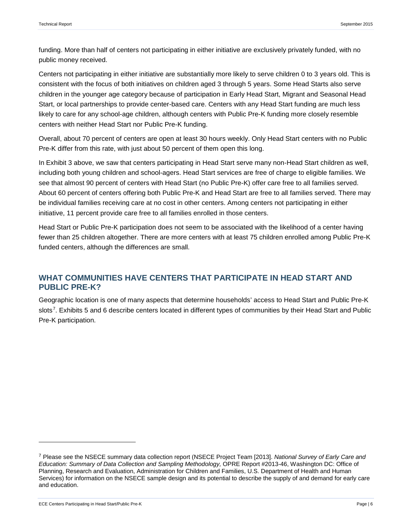funding. More than half of centers not participating in either initiative are exclusively privately funded, with no public money received.

Centers not participating in either initiative are substantially more likely to serve children 0 to 3 years old. This is consistent with the focus of both initiatives on children aged 3 through 5 years. Some Head Starts also serve children in the younger age category because of participation in Early Head Start, Migrant and Seasonal Head Start, or local partnerships to provide center-based care. Centers with any Head Start funding are much less likely to care for any school-age children, although centers with Public Pre-K funding more closely resemble centers with neither Head Start nor Public Pre-K funding.

Overall, about 70 percent of centers are open at least 30 hours weekly. Only Head Start centers with no Public Pre-K differ from this rate, with just about 50 percent of them open this long.

In Exhibit 3 above, we saw that centers participating in Head Start serve many non-Head Start children as well, including both young children and school-agers. Head Start services are free of charge to eligible families. We see that almost 90 percent of centers with Head Start (no Public Pre-K) offer care free to all families served. About 60 percent of centers offering both Public Pre-K and Head Start are free to all families served. There may be individual families receiving care at no cost in other centers. Among centers not participating in either initiative, 11 percent provide care free to all families enrolled in those centers.

Head Start or Public Pre-K participation does not seem to be associated with the likelihood of a center having fewer than 25 children altogether. There are more centers with at least 75 children enrolled among Public Pre-K funded centers, although the differences are small.

## **WHAT COMMUNITIES HAVE CENTERS THAT PARTICIPATE IN HEAD START AND PUBLIC PRE-K?**

Geographic location is one of many aspects that determine households' access to Head Start and Public Pre-K slots<sup>[7](#page-5-0)</sup>. Exhibits 5 and 6 describe centers located in different types of communities by their Head Start and Public Pre-K participation.

ECE Centers Participating in Head Start/Public Pre-K Page | 6

<span id="page-5-0"></span><sup>7</sup> Please see the NSECE summary data collection report (NSECE Project Team [2013]. *National Survey of Early Care and Education: Summary of Data Collection and Sampling Methodology,* OPRE Report #2013-46, Washington DC: Office of Planning, Research and Evaluation, Administration for Children and Families, U.S. Department of Health and Human Services) for information on the NSECE sample design and its potential to describe the supply of and demand for early care and education.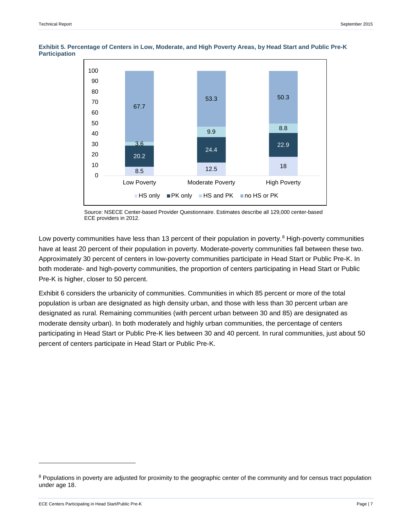

**Exhibit 5. Percentage of Centers in Low, Moderate, and High Poverty Areas, by Head Start and Public Pre-K Participation** 

Low poverty communities have less than 13 percent of their population in poverty.<sup>[8](#page-6-0)</sup> High-poverty communities have at least 20 percent of their population in poverty. Moderate-poverty communities fall between these two. Approximately 30 percent of centers in low-poverty communities participate in Head Start or Public Pre-K. In both moderate- and high-poverty communities, the proportion of centers participating in Head Start or Public Pre-K is higher, closer to 50 percent.

Exhibit 6 considers the urbanicity of communities. Communities in which 85 percent or more of the total population is urban are designated as high density urban, and those with less than 30 percent urban are designated as rural. Remaining communities (with percent urban between 30 and 85) are designated as moderate density urban). In both moderately and highly urban communities, the percentage of centers participating in Head Start or Public Pre-K lies between 30 and 40 percent. In rural communities, just about 50 percent of centers participate in Head Start or Public Pre-K.

j

Source: NSECE Center-based Provider Questionnaire. Estimates describe all 129,000 center-based ECE providers in 2012.

<span id="page-6-0"></span><sup>&</sup>lt;sup>8</sup> Populations in poverty are adjusted for proximity to the geographic center of the community and for census tract population under age 18.